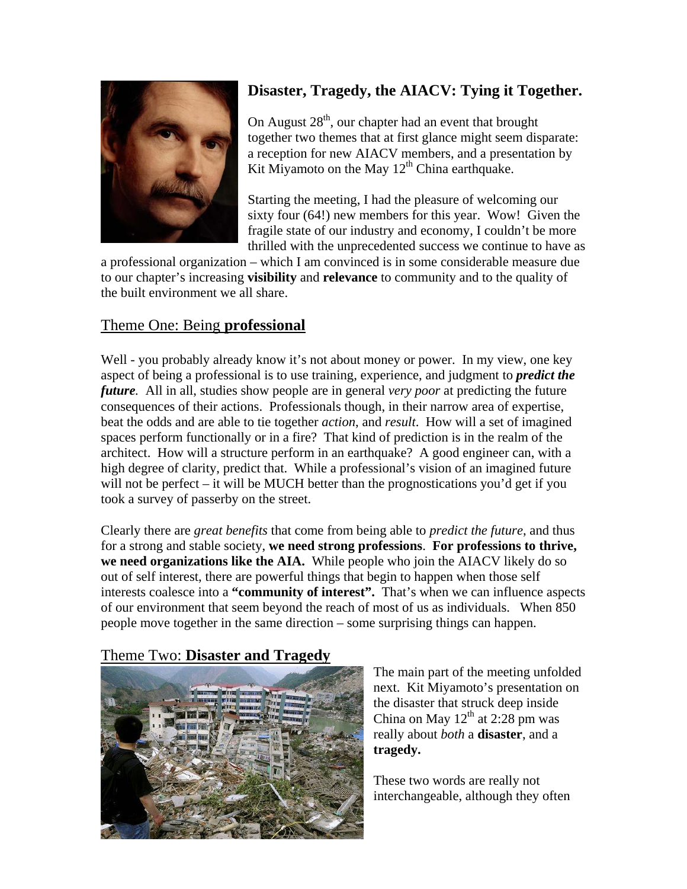

## **Disaster, Tragedy, the AIACV: Tying it Together.**

On August  $28<sup>th</sup>$ , our chapter had an event that brought together two themes that at first glance might seem disparate: a reception for new AIACV members, and a presentation by Kit Miyamoto on the May  $12<sup>th</sup>$  China earthquake.

Starting the meeting, I had the pleasure of welcoming our sixty four (64!) new members for this year. Wow! Given the fragile state of our industry and economy, I couldn't be more thrilled with the unprecedented success we continue to have as

a professional organization – which I am convinced is in some considerable measure due to our chapter's increasing **visibility** and **relevance** to community and to the quality of the built environment we all share.

## Theme One: Being **professional**

Well - you probably already know it's not about money or power. In my view, one key aspect of being a professional is to use training, experience, and judgment to *predict the future.* All in all, studies show people are in general *very poor* at predicting the future consequences of their actions. Professionals though, in their narrow area of expertise, beat the odds and are able to tie together *action*, and *result*. How will a set of imagined spaces perform functionally or in a fire? That kind of prediction is in the realm of the architect. How will a structure perform in an earthquake? A good engineer can, with a high degree of clarity, predict that. While a professional's vision of an imagined future will not be perfect – it will be MUCH better than the prognostications you'd get if you took a survey of passerby on the street.

Clearly there are *great benefits* that come from being able to *predict the future*, and thus for a strong and stable society, **we need strong professions**. **For professions to thrive, we need organizations like the AIA.** While people who join the AIACV likely do so out of self interest, there are powerful things that begin to happen when those self interests coalesce into a **"community of interest".** That's when we can influence aspects of our environment that seem beyond the reach of most of us as individuals. When 850 people move together in the same direction – some surprising things can happen.

## Theme Two: **Disaster and Tragedy**



The main part of the meeting unfolded next. Kit Miyamoto's presentation on the disaster that struck deep inside China on May  $12^{th}$  at 2:28 pm was really about *both* a **disaster**, and a **tragedy.** 

These two words are really not interchangeable, although they often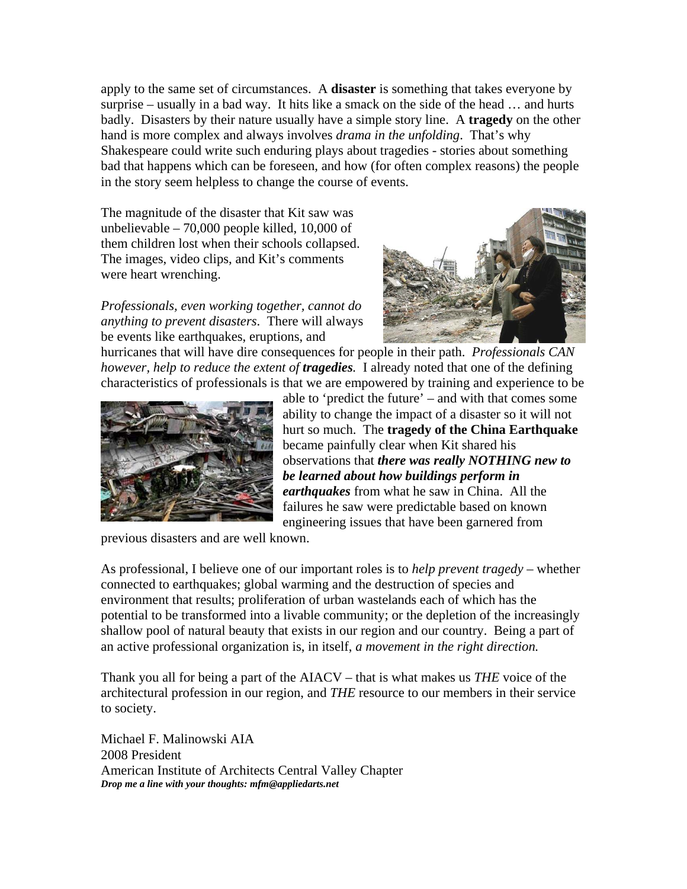apply to the same set of circumstances. A **disaster** is something that takes everyone by surprise – usually in a bad way. It hits like a smack on the side of the head … and hurts badly. Disasters by their nature usually have a simple story line. A **tragedy** on the other hand is more complex and always involves *drama in the unfolding*. That's why Shakespeare could write such enduring plays about tragedies - stories about something bad that happens which can be foreseen, and how (for often complex reasons) the people in the story seem helpless to change the course of events.

The magnitude of the disaster that Kit saw was unbelievable – 70,000 people killed, 10,000 of them children lost when their schools collapsed. The images, video clips, and Kit's comments were heart wrenching.

*Professionals, even working together, cannot do anything to prevent disasters*. There will always be events like earthquakes, eruptions, and



hurricanes that will have dire consequences for people in their path. *Professionals CAN however, help to reduce the extent of tragedies.* I already noted that one of the defining characteristics of professionals is that we are empowered by training and experience to be



able to 'predict the future' – and with that comes some ability to change the impact of a disaster so it will not hurt so much. The **tragedy of the China Earthquake** became painfully clear when Kit shared his observations that *there was really NOTHING new to be learned about how buildings perform in earthquakes* from what he saw in China. All the failures he saw were predictable based on known engineering issues that have been garnered from

previous disasters and are well known.

As professional, I believe one of our important roles is to *help prevent tragedy* – whether connected to earthquakes; global warming and the destruction of species and environment that results; proliferation of urban wastelands each of which has the potential to be transformed into a livable community; or the depletion of the increasingly shallow pool of natural beauty that exists in our region and our country. Being a part of an active professional organization is, in itself, *a movement in the right direction.* 

Thank you all for being a part of the AIACV – that is what makes us *THE* voice of the architectural profession in our region, and *THE* resource to our members in their service to society.

Michael F. Malinowski AIA 2008 President American Institute of Architects Central Valley Chapter *Drop me a line with your thoughts: mfm@appliedarts.net*